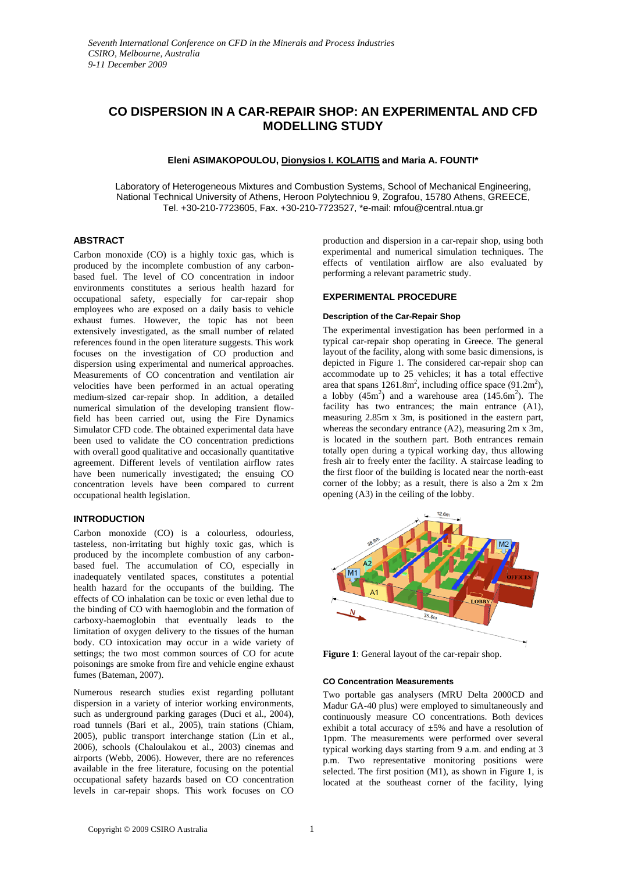# **CO DISPERSION IN A CAR-REPAIR SHOP: AN EXPERIMENTAL AND CFD MODELLING STUDY**

# **Eleni ASIMAKOPOULOU, Dionysios I. KOLAITIS and Maria A. FOUNTI\***

Laboratory of Heterogeneous Mixtures and Combustion Systems, School of Mechanical Engineering, National Technical University of Athens, Heroon Polytechniou 9, Zografou, 15780 Athens, GREECE, Tel. +30-210-7723605, Fax. +30-210-7723527, \*e-mail: mfou@central.ntua.gr

## **ABSTRACT**

Carbon monoxide (CO) is a highly toxic gas, which is produced by the incomplete combustion of any carbonbased fuel. The level of CO concentration in indoor environments constitutes a serious health hazard for occupational safety, especially for car-repair shop employees who are exposed on a daily basis to vehicle exhaust fumes. However, the topic has not been extensively investigated, as the small number of related references found in the open literature suggests. This work focuses on the investigation of CO production and dispersion using experimental and numerical approaches. Measurements of CO concentration and ventilation air velocities have been performed in an actual operating medium-sized car-repair shop. In addition, a detailed numerical simulation of the developing transient flowfield has been carried out, using the Fire Dynamics Simulator CFD code. The obtained experimental data have been used to validate the CO concentration predictions with overall good qualitative and occasionally quantitative agreement. Different levels of ventilation airflow rates have been numerically investigated; the ensuing CO concentration levels have been compared to current occupational health legislation.

### **INTRODUCTION**

Carbon monoxide (CO) is a colourless, odourless, tasteless, non-irritating but highly toxic gas, which is produced by the incomplete combustion of any carbonbased fuel. The accumulation of CO, especially in inadequately ventilated spaces, constitutes a potential health hazard for the occupants of the building. The effects of CO inhalation can be toxic or even lethal due to the binding of CO with haemoglobin and the formation of carboxy-haemoglobin that eventually leads to the limitation of oxygen delivery to the tissues of the human body. CO intoxication may occur in a wide variety of settings; the two most common sources of CO for acute poisonings are smoke from fire and vehicle engine exhaust fumes (Bateman, 2007).

Numerous research studies exist regarding pollutant dispersion in a variety of interior working environments, such as underground parking garages (Duci et al., 2004), road tunnels (Bari et al., 2005), train stations (Chiam, 2005), public transport interchange station (Lin et al., 2006), schools (Chaloulakou et al., 2003) cinemas and airports (Webb, 2006). However, there are no references available in the free literature, focusing on the potential occupational safety hazards based on CO concentration levels in car-repair shops. This work focuses on CO production and dispersion in a car-repair shop, using both experimental and numerical simulation techniques. The effects of ventilation airflow are also evaluated by performing a relevant parametric study.

## **EXPERIMENTAL PROCEDURE**

#### **Description of the Car-Repair Shop**

The experimental investigation has been performed in a typical car-repair shop operating in Greece. The general layout of the facility, along with some basic dimensions, is depicted in Figure 1. The considered car-repair shop can accommodate up to 25 vehicles; it has a total effective area that spans  $1261.8m^2$ , including office space (91.2m<sup>2</sup>), a lobby  $(45m^2)$  and a warehouse area  $(145.6m^2)$ . The facility has two entrances; the main entrance (A1), measuring 2.85m x 3m, is positioned in the eastern part, whereas the secondary entrance (A2), measuring 2m x 3m, is located in the southern part. Both entrances remain totally open during a typical working day, thus allowing fresh air to freely enter the facility. A staircase leading to the first floor of the building is located near the north-east corner of the lobby; as a result, there is also a 2m x 2m opening (A3) in the ceiling of the lobby.



**Figure 1**: General layout of the car-repair shop.

### **CO Concentration Measurements**

Two portable gas analysers (MRU Delta 2000CD and Madur GA-40 plus) were employed to simultaneously and continuously measure CO concentrations. Both devices exhibit a total accuracy of ±5% and have a resolution of 1ppm. The measurements were performed over several typical working days starting from 9 a.m. and ending at 3 p.m. Two representative monitoring positions were selected. The first position (M1), as shown in Figure 1, is located at the southeast corner of the facility, lying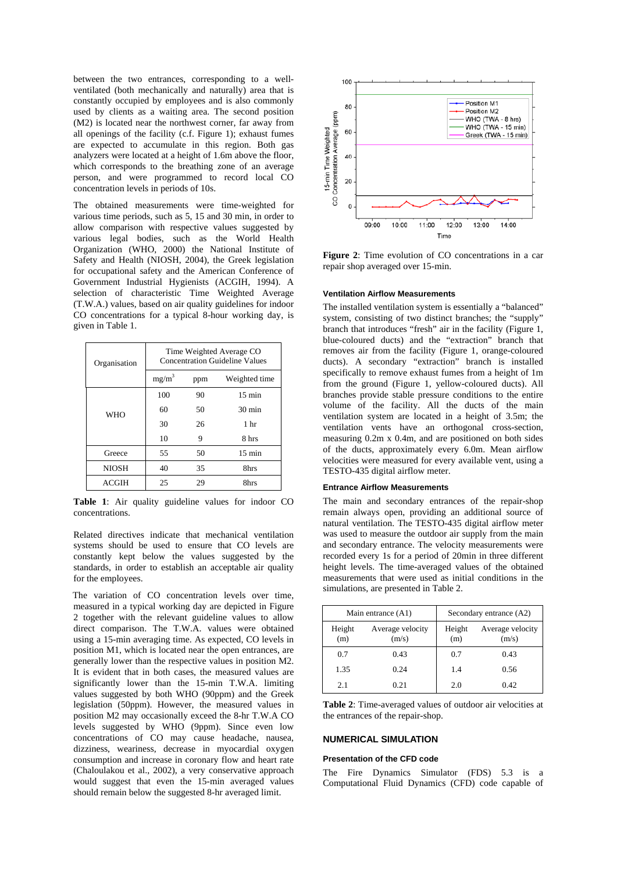between the two entrances, corresponding to a wellventilated (both mechanically and naturally) area that is constantly occupied by employees and is also commonly used by clients as a waiting area. The second position (M2) is located near the northwest corner, far away from all openings of the facility (c.f. Figure 1); exhaust fumes are expected to accumulate in this region. Both gas analyzers were located at a height of 1.6m above the floor, which corresponds to the breathing zone of an average person, and were programmed to record local CO concentration levels in periods of 10s.

The obtained measurements were time-weighted for various time periods, such as 5, 15 and 30 min, in order to allow comparison with respective values suggested by various legal bodies, such as the World Health Organization (WHO, 2000) the National Institute of Safety and Health (NIOSH, 2004), the Greek legislation for occupational safety and the American Conference of Government Industrial Hygienists (ACGIH, 1994). A selection of characteristic Time Weighted Average (T.W.A.) values, based on air quality guidelines for indoor CO concentrations for a typical 8-hour working day, is given in Table 1.

| Organisation | Time Weighted Average CO<br><b>Concentration Guideline Values</b> |     |                  |
|--------------|-------------------------------------------------------------------|-----|------------------|
|              | $mg/m^3$                                                          | ppm | Weighted time    |
| <b>WHO</b>   | 100                                                               | 90  | $15 \text{ min}$ |
|              | 60                                                                | 50  | $30 \text{ min}$ |
|              | 30                                                                | 26  | 1 <sub>hr</sub>  |
|              | 10                                                                | 9   | 8 hrs            |
| Greece       | 55                                                                | 50  | $15 \text{ min}$ |
| <b>NIOSH</b> | 40                                                                | 35  | 8hrs             |
| ACGIH        | 25                                                                | 29  | 8hrs             |

**Table 1**: Air quality guideline values for indoor CO concentrations.

Related directives indicate that mechanical ventilation systems should be used to ensure that CO levels are constantly kept below the values suggested by the standards, in order to establish an acceptable air quality for the employees.

The variation of CO concentration levels over time, measured in a typical working day are depicted in Figure 2 together with the relevant guideline values to allow direct comparison. The T.W.A. values were obtained using a 15-min averaging time. As expected, CO levels in position M1, which is located near the open entrances, are generally lower than the respective values in position M2. It is evident that in both cases, the measured values are significantly lower than the 15-min T.W.A. limiting values suggested by both WHO (90ppm) and the Greek legislation (50ppm). However, the measured values in position M2 may occasionally exceed the 8-hr T.W.A CO levels suggested by WHO (9ppm). Since even low concentrations of CO may cause headache, nausea, dizziness, weariness, decrease in myocardial oxygen consumption and increase in coronary flow and heart rate (Chaloulakou et al., 2002), a very conservative approach would suggest that even the 15-min averaged values should remain below the suggested 8-hr averaged limit.



**Figure 2**: Time evolution of CO concentrations in a car repair shop averaged over 15-min.

### **Ventilation Airflow Measurements**

The installed ventilation system is essentially a "balanced" system, consisting of two distinct branches; the "supply" branch that introduces "fresh" air in the facility (Figure 1, blue-coloured ducts) and the "extraction" branch that removes air from the facility (Figure 1, orange-coloured ducts). A secondary "extraction" branch is installed specifically to remove exhaust fumes from a height of 1m from the ground (Figure 1, yellow-coloured ducts). All branches provide stable pressure conditions to the entire volume of the facility. All the ducts of the main ventilation system are located in a height of 3.5m; the ventilation vents have an orthogonal cross-section, measuring 0.2m x 0.4m, and are positioned on both sides of the ducts, approximately every 6.0m. Mean airflow velocities were measured for every available vent, using a TESTO-435 digital airflow meter.

#### **Entrance Airflow Measurements**

The main and secondary entrances of the repair-shop remain always open, providing an additional source of natural ventilation. The TESTO-435 digital airflow meter was used to measure the outdoor air supply from the main and secondary entrance. The velocity measurements were recorded every 1s for a period of 20min in three different height levels. The time-averaged values of the obtained measurements that were used as initial conditions in the simulations, are presented in Table 2.

| Main entrance (A1) |                           | Secondary entrance (A2) |                           |
|--------------------|---------------------------|-------------------------|---------------------------|
| Height<br>(m)      | Average velocity<br>(m/s) | Height<br>(m)           | Average velocity<br>(m/s) |
| 0.7                | 0.43                      | 0.7                     | 0.43                      |
| 1.35               | 0.24                      | 1.4                     | 0.56                      |
| 2.1                | 0.21                      | 2.0                     | 0.42                      |

**Table 2**: Time-averaged values of outdoor air velocities at the entrances of the repair-shop.

# **NUMERICAL SIMULATION**

### **Presentation of the CFD code**

The Fire Dynamics Simulator (FDS) 5.3 is a Computational Fluid Dynamics (CFD) code capable of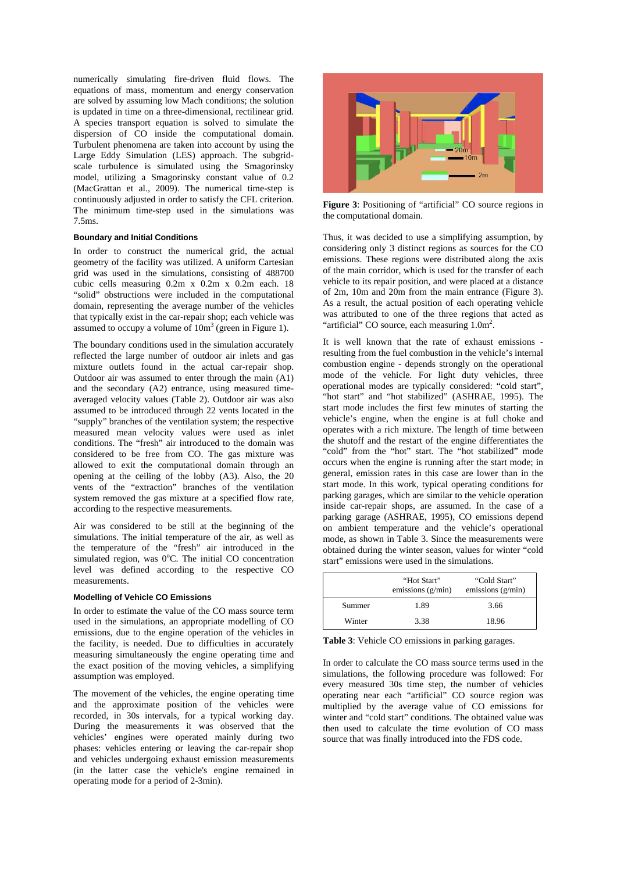numerically simulating fire-driven fluid flows. The equations of mass, momentum and energy conservation are solved by assuming low Mach conditions; the solution is updated in time on a three-dimensional, rectilinear grid. A species transport equation is solved to simulate the dispersion of CO inside the computational domain. Turbulent phenomena are taken into account by using the Large Eddy Simulation (LES) approach. The subgridscale turbulence is simulated using the Smagorinsky model, utilizing a Smagorinsky constant value of 0.2 (MacGrattan et al., 2009). The numerical time-step is continuously adjusted in order to satisfy the CFL criterion. The minimum time-step used in the simulations was 7.5ms.

### **Boundary and Initial Conditions**

In order to construct the numerical grid, the actual geometry of the facility was utilized. A uniform Cartesian grid was used in the simulations, consisting of 488700 cubic cells measuring 0.2m x 0.2m x 0.2m each. 18 "solid" obstructions were included in the computational domain, representing the average number of the vehicles that typically exist in the car-repair shop; each vehicle was assumed to occupy a volume of  $10m<sup>3</sup>$  (green in Figure 1).

The boundary conditions used in the simulation accurately reflected the large number of outdoor air inlets and gas mixture outlets found in the actual car-repair shop. Outdoor air was assumed to enter through the main (A1) and the secondary (A2) entrance, using measured timeaveraged velocity values (Table 2). Outdoor air was also assumed to be introduced through 22 vents located in the "supply" branches of the ventilation system; the respective measured mean velocity values were used as inlet conditions. The "fresh" air introduced to the domain was considered to be free from CO. The gas mixture was allowed to exit the computational domain through an opening at the ceiling of the lobby (A3). Also, the 20 vents of the "extraction" branches of the ventilation system removed the gas mixture at a specified flow rate, according to the respective measurements.

Air was considered to be still at the beginning of the simulations. The initial temperature of the air, as well as the temperature of the "fresh" air introduced in the simulated region, was  $0^{\circ}$ C. The initial CO concentration level was defined according to the respective CO measurements.

### **Modelling of Vehicle CO Emissions**

In order to estimate the value of the CO mass source term used in the simulations, an appropriate modelling of CO emissions, due to the engine operation of the vehicles in the facility, is needed. Due to difficulties in accurately measuring simultaneously the engine operating time and the exact position of the moving vehicles, a simplifying assumption was employed.

The movement of the vehicles, the engine operating time and the approximate position of the vehicles were recorded, in 30s intervals, for a typical working day. During the measurements it was observed that the vehicles' engines were operated mainly during two phases: vehicles entering or leaving the car-repair shop and vehicles undergoing exhaust emission measurements (in the latter case the vehicle's engine remained in operating mode for a period of 2-3min).



**Figure 3**: Positioning of "artificial" CO source regions in the computational domain.

Thus, it was decided to use a simplifying assumption, by considering only 3 distinct regions as sources for the CO emissions. These regions were distributed along the axis of the main corridor, which is used for the transfer of each vehicle to its repair position, and were placed at a distance of 2m, 10m and 20m from the main entrance (Figure 3). As a result, the actual position of each operating vehicle was attributed to one of the three regions that acted as "artificial" CO source, each measuring  $1.0<sup>m²</sup>$ .

It is well known that the rate of exhaust emissions resulting from the fuel combustion in the vehicle's internal combustion engine - depends strongly on the operational mode of the vehicle. For light duty vehicles, three operational modes are typically considered: "cold start", "hot start" and "hot stabilized" (ASHRAE, 1995). The start mode includes the first few minutes of starting the vehicle's engine, when the engine is at full choke and operates with a rich mixture. The length of time between the shutoff and the restart of the engine differentiates the "cold" from the "hot" start. The "hot stabilized" mode occurs when the engine is running after the start mode; in general, emission rates in this case are lower than in the start mode. In this work, typical operating conditions for parking garages, which are similar to the vehicle operation inside car-repair shops, are assumed. In the case of a parking garage (ASHRAE, 1995), CO emissions depend on ambient temperature and the vehicle's operational mode, as shown in Table 3. Since the measurements were obtained during the winter season, values for winter "cold start" emissions were used in the simulations.

|        | "Hot Start"<br>emissions $(g/min)$ | "Cold Start"<br>emissions $(g/min)$ |
|--------|------------------------------------|-------------------------------------|
| Summer | 1.89                               | 3.66                                |
| Winter | 3.38                               | 18.96                               |

**Table 3**: Vehicle CO emissions in parking garages.

In order to calculate the CO mass source terms used in the simulations, the following procedure was followed: For every measured 30s time step, the number of vehicles operating near each "artificial" CO source region was multiplied by the average value of CO emissions for winter and "cold start" conditions. The obtained value was then used to calculate the time evolution of CO mass source that was finally introduced into the FDS code.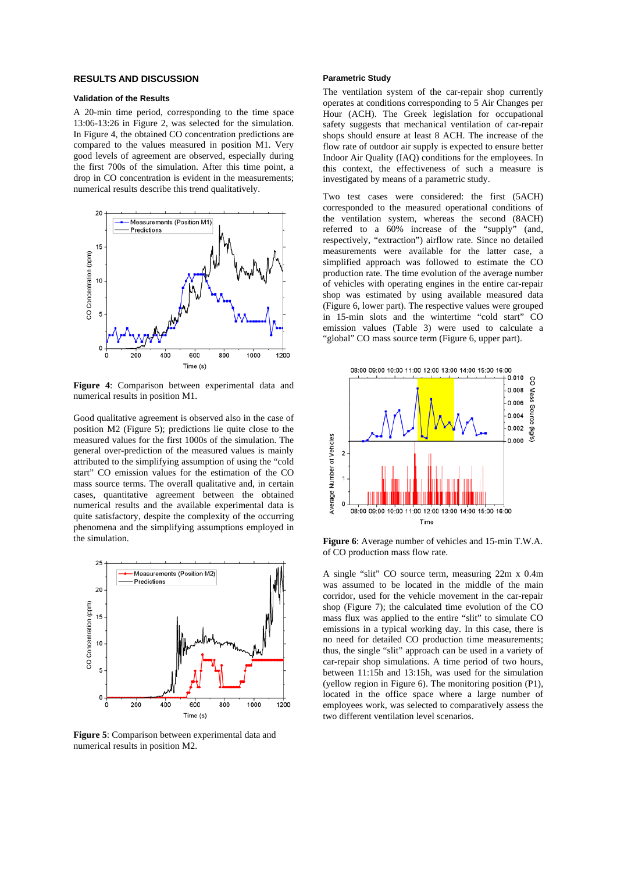### **RESULTS AND DISCUSSION**

### **Validation of the Results**

A 20-min time period, corresponding to the time space 13:06-13:26 in Figure 2, was selected for the simulation. In Figure 4, the obtained CO concentration predictions are compared to the values measured in position M1. Very good levels of agreement are observed, especially during the first 700s of the simulation. After this time point, a drop in CO concentration is evident in the measurements; numerical results describe this trend qualitatively.



**Figure 4**: Comparison between experimental data and numerical results in position M1.

Good qualitative agreement is observed also in the case of position M2 (Figure 5); predictions lie quite close to the measured values for the first 1000s of the simulation. The general over-prediction of the measured values is mainly attributed to the simplifying assumption of using the "cold start" CO emission values for the estimation of the CO mass source terms. The overall qualitative and, in certain cases, quantitative agreement between the obtained numerical results and the available experimental data is quite satisfactory, despite the complexity of the occurring phenomena and the simplifying assumptions employed in the simulation.



**Figure 5**: Comparison between experimental data and numerical results in position M2.

### **Parametric Study**

The ventilation system of the car-repair shop currently operates at conditions corresponding to 5 Air Changes per Hour (ACH). The Greek legislation for occupational safety suggests that mechanical ventilation of car-repair shops should ensure at least 8 ACH. The increase of the flow rate of outdoor air supply is expected to ensure better Indoor Air Quality (IAQ) conditions for the employees. In this context, the effectiveness of such a measure is investigated by means of a parametric study.

Two test cases were considered: the first (5ACH) corresponded to the measured operational conditions of the ventilation system, whereas the second (8ACH) referred to a 60% increase of the "supply" (and, respectively, "extraction") airflow rate. Since no detailed measurements were available for the latter case, a simplified approach was followed to estimate the CO production rate. The time evolution of the average number of vehicles with operating engines in the entire car-repair shop was estimated by using available measured data (Figure 6, lower part). The respective values were grouped in 15-min slots and the wintertime "cold start" CO emission values (Table 3) were used to calculate a "global" CO mass source term (Figure 6, upper part).



**Figure 6**: Average number of vehicles and 15-min T.W.A. of CO production mass flow rate.

A single "slit" CO source term, measuring 22m x 0.4m was assumed to be located in the middle of the main corridor, used for the vehicle movement in the car-repair shop (Figure 7); the calculated time evolution of the CO mass flux was applied to the entire "slit" to simulate CO emissions in a typical working day. In this case, there is no need for detailed CO production time measurements; thus, the single "slit" approach can be used in a variety of car-repair shop simulations. A time period of two hours, between 11:15h and 13:15h, was used for the simulation (yellow region in Figure 6). The monitoring position (P1), located in the office space where a large number of employees work, was selected to comparatively assess the two different ventilation level scenarios.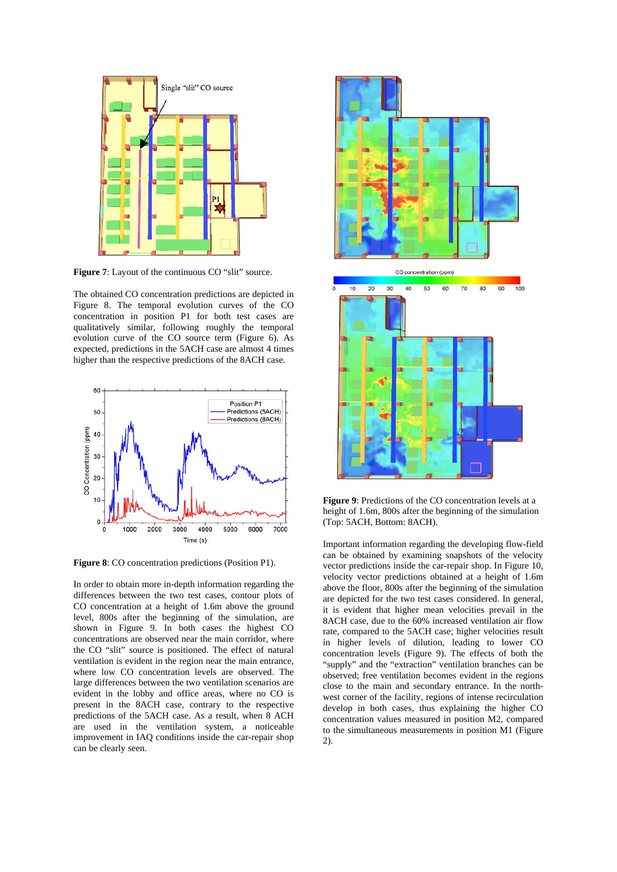

Figure 7: Layout of the continuous CO "slit" source.

The obtained CO concentration predictions are depicted in Figure 8. The temporal evolution curves of the CO concentration in position P1 for both test cases are qualitatively similar, following roughly the temporal evolution curve of the CO source term (Figure 6). As expected, predictions in the 5ACH case are almost 4 times higher than the respective predictions of the 8ACH case.



**Figure 8**: CO concentration predictions (Position P1).

In order to obtain more in-depth information regarding the differences between the two test cases, contour plots of CO concentration at a height of 1.6m above the ground level, 800s after the beginning of the simulation, are shown in Figure 9. In both cases the highest CO concentrations are observed near the main corridor, where the CO "slit" source is positioned. The effect of natural ventilation is evident in the region near the main entrance, where low CO concentration levels are observed. The large differences between the two ventilation scenarios are evident in the lobby and office areas, where no CO is present in the 8ACH case, contrary to the respective predictions of the 5ACH case. As a result, when 8 ACH are used in the ventilation system, a noticeable improvement in IAQ conditions inside the car-repair shop can be clearly seen.



**Figure 9**: Predictions of the CO concentration levels at a height of 1.6m, 800s after the beginning of the simulation (Top: 5ACH, Bottom: 8ACH).

Important information regarding the developing flow-field can be obtained by examining snapshots of the velocity vector predictions inside the car-repair shop. In Figure 10, velocity vector predictions obtained at a height of 1.6m above the floor, 800s after the beginning of the simulation are depicted for the two test cases considered. In general, it is evident that higher mean velocities prevail in the 8ACH case, due to the 60% increased ventilation air flow rate, compared to the 5ACH case; higher velocities result in higher levels of dilution, leading to lower CO concentration levels (Figure 9). The effects of both the "supply" and the "extraction" ventilation branches can be observed; free ventilation becomes evident in the regions close to the main and secondary entrance. In the northwest corner of the facility, regions of intense recirculation develop in both cases, thus explaining the higher CO concentration values measured in position M2, compared to the simultaneous measurements in position M1 (Figure 2).